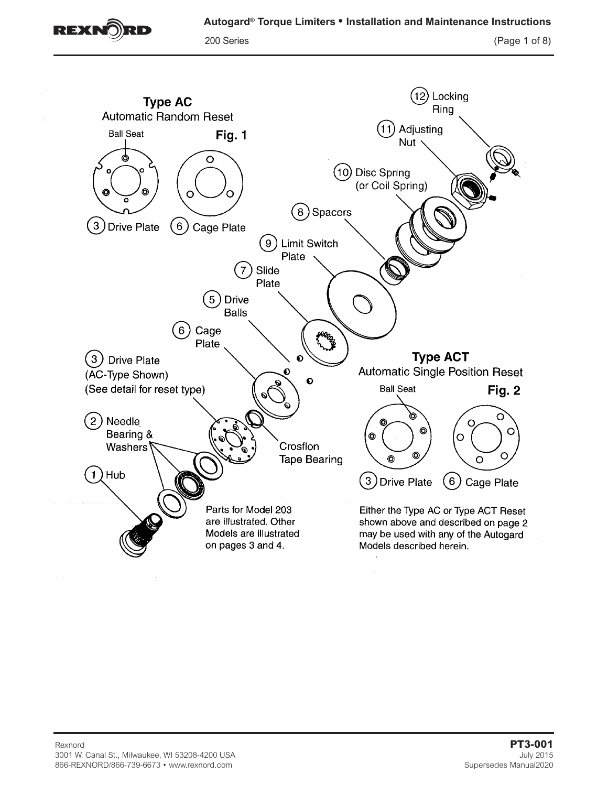

200 Series (Page 1 of 8)

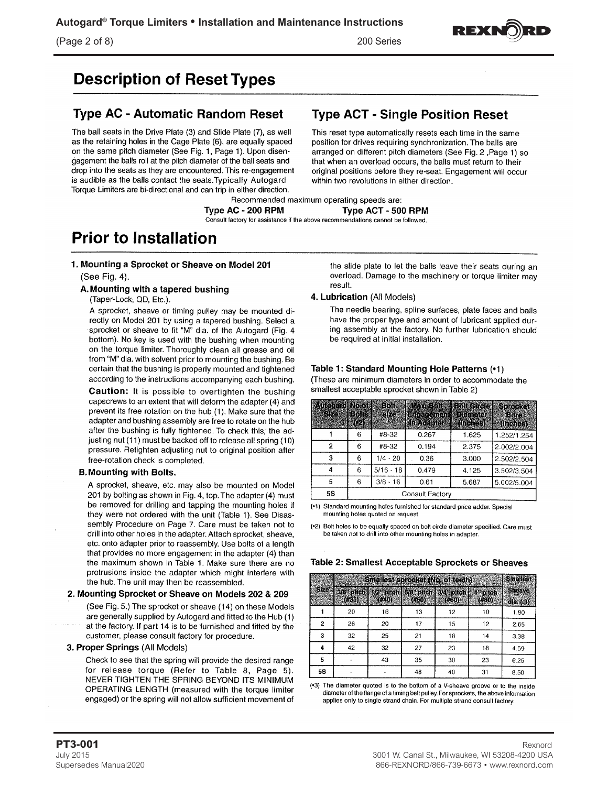

# **Description of Reset Types**

# **Type AC - Automatic Random Reset**

The ball seats in the Drive Plate (3) and Slide Plate (7), as well as the retaining holes in the Cage Plate (6), are equally spaced on the same pitch diameter (See Fig. 1, Page 1). Upon disengagement the balls roll at the pitch diameter of the ball seats and drop into the seats as they are encountered. This re-engagement is audible as the balls contact the seats. Typically Autogard Torque Limiters are bi-directional and can trip in either direction.

# **Type ACT - Single Position Reset**

This reset type automatically resets each time in the same position for drives requiring synchronization. The balls are arranged on different pitch diameters (See Fig. 2, Page 1) so that when an overload occurs, the balls must return to their original positions before they re-seat. Engagement will occur within two revolutions in either direction.

Recommended maximum operating speeds are: Type AC - 200 RPM Type ACT - 500 RPM Consult factory for assistance if the above recommendations cannot be followed.

# **Prior to Installation**

### 1. Mounting a Sprocket or Sheave on Model 201

### (See Fig. 4).

### A. Mounting with a tapered bushing

(Taper-Lock, QD, Etc.).

A sprocket, sheave or timing pulley may be mounted directly on Model 201 by using a tapered bushing. Select a sprocket or sheave to fit "M" dia. of the Autogard (Fig. 4 bottom). No key is used with the bushing when mounting on the torque limiter. Thoroughly clean all grease and oil from "M" dia. with solvent prior to mounting the bushing. Be certain that the bushing is properly mounted and tightened according to the instructions accompanying each bushing.

Caution: It is possible to overtighten the bushing capscrews to an extent that will deform the adapter (4) and prevent its free rotation on the hub (1). Make sure that the adapter and bushing assembly are free to rotate on the hub after the bushing is fully tightened. To check this, the adjusting nut (11) must be backed off to release all spring (10) pressure. Retighten adjusting nut to original position after free-rotation check is completed.

### **B. Mounting with Bolts.**

A sprocket, sheave, etc. may also be mounted on Model 201 by bolting as shown in Fig. 4, top. The adapter (4) must be removed for drilling and tapping the mounting holes if they were not ordered with the unit (Table 1). See Disassembly Procedure on Page 7. Care must be taken not to drill into other holes in the adapter. Attach sprocket, sheave, etc. onto adapter prior to reassembly. Use bolts of a length that provides no more engagement in the adapter (4) than the maximum shown in Table 1. Make sure there are no protrusions inside the adapter which might interfere with the hub. The unit may then be reassembled.

### 2. Mounting Sprocket or Sheave on Models 202 & 209

(See Fig. 5.) The sprocket or sheave (14) on these Models are generally supplied by Autogard and fitted to the Hub (1) at the factory. If part 14 is to be furnished and fitted by the customer, please consult factory for procedure.

### 3. Proper Springs (All Models)

Check to see that the spring will provide the desired range for release torque (Refer to Table 8, Page 5). NEVER TIGHTEN THE SPRING BEYOND ITS MINIMUM OPERATING LENGTH (measured with the torque limiter engaged) or the spring will not allow sufficient movement of

the slide plate to let the balls leave their seats during an overload. Damage to the machinery or torque limiter may result.

### 4. Lubrication (All Models)

The needle bearing, spline surfaces, plate faces and balls have the proper type and amount of lubricant applied during assembly at the factory. No further lubrication should be required at initial installation.

### Table 1: Standard Mounting Hole Patterns (•1)

(These are minimum diameters in order to accommodate the smallest acceptable sprocket shown in Table 2)

| <b>Automnal No.61</b><br>Ske | 明治学<br>12)      | 86 S<br>323 | <b>Mixe software store of vale</b><br><b>Emagement</b> Diameter<br><b>I</b> in Adapter <b>I</b> (Inches) |             | <b>Sprocket</b><br>Bore<br>(thenes) |  |  |
|------------------------------|-----------------|-------------|----------------------------------------------------------------------------------------------------------|-------------|-------------------------------------|--|--|
|                              | 6               | #8-32       | 0.267                                                                                                    | 1.625       | 1.252/1.254                         |  |  |
| $\overline{2}$               | 6               | #8-32       | 0.194                                                                                                    | 2.375       | 2.002/2.004                         |  |  |
| 3                            | 6               | $1/4 - 20$  | 0.36                                                                                                     | 3.000       | 2.502/2.504                         |  |  |
| 4                            | 6               | $5/16 - 18$ | 0.479                                                                                                    | 4.125       | 3.502/3.504                         |  |  |
| 5                            | 6               | $3/8 - 16$  | 5.687                                                                                                    | 5.002/5.004 |                                     |  |  |
| <b>5S</b>                    | Consult Factory |             |                                                                                                          |             |                                     |  |  |

(•1) Standard mounting holes furnished for standard price adder. Special mounting holes quoted on request

(\*2) Bolt holes to be equally spaced on bolt circle diameter specified. Care must be taken not to drill into other mounting holes in adapter.

### Table 2: Smallest Acceptable Sprockets or Sheaves

|              |                                                          | Smallest sprocket (No. of teeth) |       |       |       | <b>Smallest</b>           |
|--------------|----------------------------------------------------------|----------------------------------|-------|-------|-------|---------------------------|
| Siz6         | 3/8 pitch 1/2 pitch 5/8 pitch 3/4 pitch 1 pitch<br>(135) | (640)                            | (650) | (#60) | (#80) | <b>Sheave</b><br>d(a. (3) |
|              | 20                                                       | 16                               | 13    | 12    | 10    | 1.90                      |
| $\mathbf{2}$ | 26                                                       | 20                               | 17    | 15    | $-12$ | 2.65                      |
| 3            | 32                                                       | 25                               | 21    | 18    | 14    | 3.38                      |
| 4            | 42                                                       | 32                               | 27    | 23    | 18    | 4.59                      |
| 5            |                                                          | 43                               | 35    | 30    | 23    | 6.25                      |
| 5S           |                                                          |                                  | 48    | 40    | 31    | 8.50                      |

(•3) The diameter quoted is to the bottom of a V-sheave groove or to the inside diameter of the flange of a timing belt pulley. For sprockets, the above information applies only to single strand chain. For multiple strand consult factory.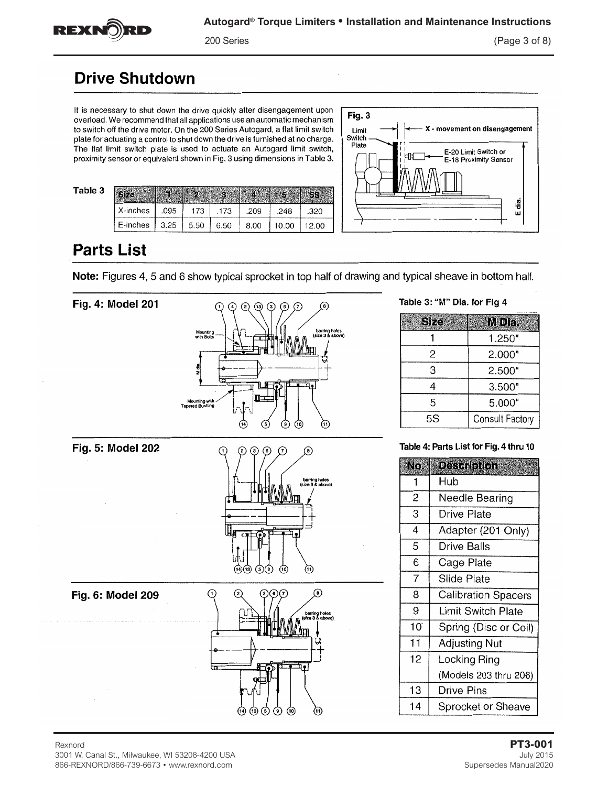

200 Series (Page 3 of 8)

# **Drive Shutdown**

It is necessary to shut down the drive quickly after disengagement upon overload. We recommend that all applications use an automatic mechanism to switch off the drive motor. On the 200 Series Autogard, a flat limit switch plate for actuating a control to shut down the drive is furnished at no charge. The flat limit switch plate is used to actuate an Autogard limit switch, proximity sensor or equivalent shown in Fig. 3 using dimensions in Table 3.

| 3 |                    |      |        |      |      |       |       |
|---|--------------------|------|--------|------|------|-------|-------|
|   | $X$ -inches        | .095 | .173   | .173 | .209 | .248  | .320  |
|   | $E$ -inches $3.25$ |      | 1,5.50 | 6.50 | 8.00 | 10.00 | 12.00 |

 $\left( \right)$ 



Table 3: "M" Dia. for Fig 4

# **Parts List**

Table

Note: Figures 4, 5 and 6 show typical sprocket in top half of drawing and typical sheave in bottom half.





# 3001 W. Canal St., Milwaukee, WI 53208-4200 USA July 2015

866-REXNORD/866-739-6673 • www.rexnord.com Supersedes Manual2020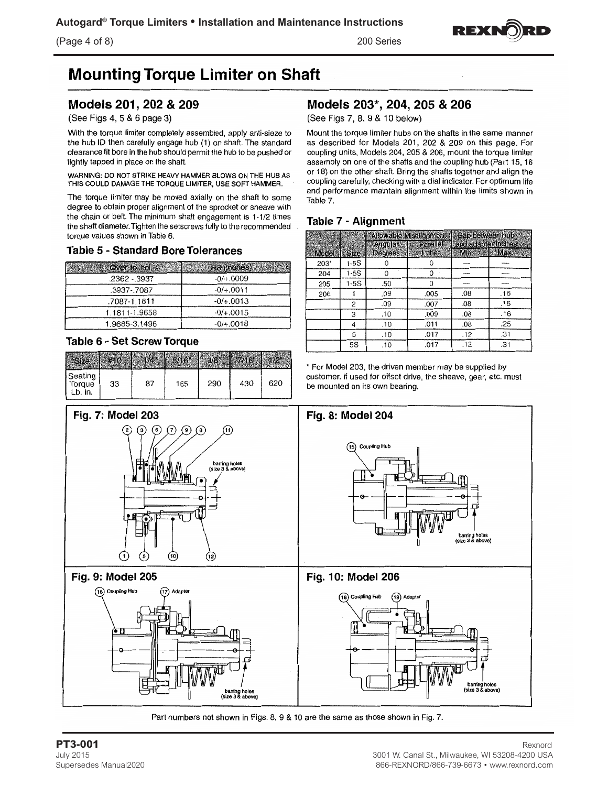(Page 4 of 8) 200 Series



# **Mounting Torque Limiter on Shaft**

## Models 201, 202 & 209

(See Figs 4, 5 & 6 page 3)

With the torque limiter completely assembled, apply anti-sieze to the hub ID then carefully engage hub (1) on shaft. The standard clearance fit bore in the hub should permit the hub to be pushed or lightly tapped in place on the shaft.

WARNING: DO NOT STRIKE HEAVY HAMMER BLOWS ON THE HUB AS THIS COULD DAMAGE THE TORQUE LIMITER, USE SOFT HAMMER.

The torque limiter may be moved axially on the shaft to some degree to obtain proper alignment of the sprocket or sheave with the chain or belt. The minimum shaft engagement is 1-1/2 times the shaft diameter. Tighten the setscrews fully to the recommended torque values shown in Table 6.

### **Table 5 - Standard Bore Tolerances**

| Over-to-Incl. | <b>HB</b> (inches) |
|---------------|--------------------|
| .2362 - 3937  | $-0/+.0009$        |
| .3937-.7087   | $-0/+.0011$        |
| .7087-1.1811  | $-0/+.0013$        |
| 1.1811-1.9658 | $-0/+.0015$        |
| 1.9685-3.1496 | $-0/+.0018$        |

### **Table 6 - Set Screw Torque**

| Seating<br>Torque<br>Lb. in. | 33 | 87 | 165 | 290 | 430 | 620 |
|------------------------------|----|----|-----|-----|-----|-----|



Part numbers not shown in Figs. 8, 9 & 10 are the same as those shown in Fig. 7.

(See Figs 7, 8, 9 & 10 below)

Mount the torque limiter hubs on the shafts in the same manner as described for Models 201, 202 & 209 on this page. For coupling units, Models 204, 205 & 206, mount the torque limiter assembly on one of the shafts and the coupling hub (Part 15, 16 or 18) on the other shaft. Bring the shafts together and align the coupling carefully, checking with a dial indicator. For optimum life and performance maintain alignment within the limits shown in Table 7.

### Table 7 - Alignment

|       |        |                | Allowable Misalignment | Gap between hub     |     |
|-------|--------|----------------|------------------------|---------------------|-----|
|       |        | Angular        | Parallell              | and adapter inches. |     |
| Model | Size   | <b>Degrees</b> | <b>Inches</b>          | Mine                | Max |
| 203*  | $1-5S$ |                |                        |                     |     |
| 204   | 1-5S   | Ω              | o                      |                     |     |
| 205   | $1-5S$ | .50            | 0                      |                     |     |
| 206   |        | .09            | .005                   | .08                 | .16 |
|       | 2      | .09            | .007                   | .08                 | .16 |
|       | 3      | .10            | .009                   | .08                 | .16 |
|       | 4      | .10            | .011                   | .08                 | .25 |
|       | 5      | .10            | .017                   | .12                 | .31 |
|       | 5S     | .10            | .017                   | .12                 | .31 |

\* For Model 203, the driven member may be supplied by customer. If used for offset drive, the sheave, gear, etc. must be mounted on its own bearing.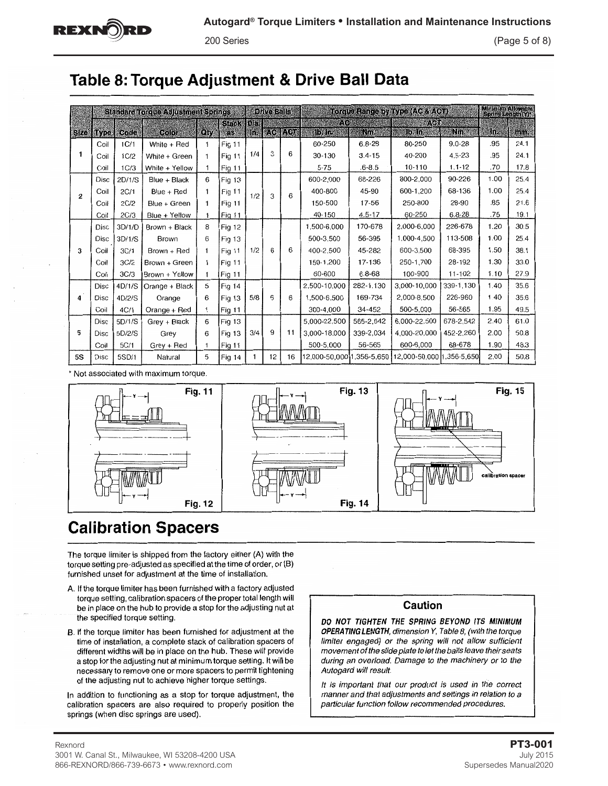# Table 8: Torque Adjustment & Drive Ball Data

|                |             |        | <b>Standard Torque Adjustment Springs</b> |              |                  |     | <b>Drive Balls</b> |        |                |            | Torque Range by Type (AC & ACT)                     |            | Minimum Allowable<br>Spring Length (Y)* |      |
|----------------|-------------|--------|-------------------------------------------|--------------|------------------|-----|--------------------|--------|----------------|------------|-----------------------------------------------------|------------|-----------------------------------------|------|
|                | Size Type   | Code   | Color                                     | Qiy          | Stack Dia:<br>as | Hn. |                    | AC ACT | I. O<br>15.1n. | Nm         | 小吃脂<br>15.10.                                       | Nm.        | in.                                     | mine |
|                | Coil        | 1C/1   | White + Red                               | 1            | Fig 11           |     |                    |        | 60-250         | $6.8 - 28$ | 80-250                                              | $9.0 - 28$ | .95                                     | 24.1 |
| 1              | Coil        | 1C/2   | White + Green                             | 1            | Fig 11           | 1/4 | 3                  | 6      | 30-130         | $3.4 - 15$ | 40-200                                              | $4.5 - 23$ | .95                                     | 24.1 |
|                | Coil        | 1C/3   | White + Yellow                            | 1            | Fig 11           |     |                    |        | $5 - 75$       | $.6 - 8.5$ | 10-110                                              | $1.1 - 12$ | .70                                     | 17.8 |
|                | <b>Disc</b> | 2D/1/S | Blue + Black                              | 6            | Fig 13           |     |                    |        | 600-2.000      | 68-226     | 800-2.000                                           | 90-226     | 1.00                                    | 25.4 |
| $\overline{2}$ | Coil        | 2C/1   | Blue + Red                                | 1            | Fig 11           | 1/2 | 3                  | 6      | 400-800        | 45-90      | 600-1.200                                           | 68-136     | 1.00                                    | 25.4 |
|                | Coil        | 2C/2   | Blue + Green                              | $\mathbf{1}$ | Fig 11           |     |                    |        | 150-500        | 17-56      | 250-800                                             | 28-90      | .85                                     | 21.6 |
|                | Coil        | 2C/3   | Blue + Yellow                             | 1            | Fig 11           |     |                    |        | 40-150         | $4.5 - 17$ | 60-250                                              | $6.8 - 28$ | .75                                     | 19.1 |
|                | Disc        | 3D/1/D | Brown + Black                             | 8            | <b>Fig 12</b>    |     |                    |        | 1,500-6,000    | 170-678    | 2.000-6.000                                         | 226-678    | 1.20                                    | 30.5 |
|                | Disc        | 3D/1/S | Brown                                     | 6            | Fig 13           |     |                    |        | 500-3.500      | 56-395     | 1,000-4.500                                         | 113-508    | 1.00                                    | 25.4 |
| 3              | Coil        | 3C/1   | Brown + Red                               | 1            | Fig 11           | 1/2 | 6                  | 6      | 400-2.500      | 45-282     | 600-3.500                                           | 68-395     | 1.50                                    | 38.1 |
|                | Coil        | 3C/2   | Brown + Green                             | 1            | Fig 11           |     |                    |        | 150-1,200      | 17-136     | 250-1,700                                           | 28-192     | 1.30                                    | 33.0 |
|                | Coil        | 3C/3   | Brown + Yellow                            | 1            | Fig 11           |     |                    |        | 60-600         | $6.8 - 68$ | 100-900                                             | 11-102     | 1.10                                    | 27.9 |
|                | Disc        | 4D/1/S | Orange + Black                            | 5            | <b>Fig 14</b>    |     |                    |        | 2.500-10.000   | 282-1.130  | 3.000-10,000                                        | 339-1.130  | 1.40                                    | 35.6 |
| 4              | Disc        | 4D/2/S | Orange                                    | 6            | Fig 13           | 5/8 | 6                  | 6      | 1.500-6.500    | 169-734    | 2.000-8.500                                         | 226-960    | 1.40                                    | 35.6 |
|                | Coil        | 4C/1   | Orange + Red                              | 1            | <b>Fig 11</b>    |     |                    |        | 300-4,000      | 34-452     | 500-5.000                                           | 56-565     | 1.95                                    | 49.5 |
|                | Disc        | 5D/1/S | Grey + Black                              | 6            | Fig 13           |     |                    |        | 5.000-22.500   | 565-2.542  | 6.000-22.500                                        | 678-2,542  | 2.40                                    | 61.0 |
| 5              | Disc        | 5D/2/S | Grey                                      | 6            | Fig 13           | 3/4 | 9                  | 11     | 3,000-18,000   | 339-2.034  | 4.000-20.000                                        | 452-2.260  | 2.00                                    | 50.8 |
|                | Coil        | 5C/1   | $Grey + Red$                              | 1            | Fig 11           |     |                    |        | 500-5,000      | 56-565     | 600-6.000                                           | 68-678     | 1.90                                    | 48.3 |
| <b>5S</b>      | Disc        | 5SD/1  | Natural                                   | 5            | Fig 14           | 1   | 12                 | 16     |                |            | 12.000-50.00011.356-5.650 12.000-50.000 1.356-5.650 |            | 2.00                                    | 50.8 |

\* Not associated with maximum torque.



# **Calibration Spacers**

The torque limiter is shipped from the factory either (A) with the torque setting pre-adjusted as specified at the time of order, or (B) furnished unset for adjustment at the time of installation.

- A. If the torque limiter has been furnished with a factory adjusted torque setting, calibration spacers of the proper total length will be in place on the hub to provide a stop for the adjusting nut at the specified torque setting.
- B. If the torque limiter has been furnished for adjustment at the time of installation, a complete stack of calibration spacers of different widths will be in place on the hub. These will provide a stop for the adjusting nut at minimum torque setting. It will be necessary to remove one or more spacers to permit tightening of the adjusting nut to achieve higher torque settings.

In addition to functioning as a stop for torque adjustment, the calibration spacers are also required to properly position the springs (when disc springs are used).

### Caution

DO NOT TIGHTEN THE SPRING BEYOND ITS MINIMUM OPERATING LENGTH, dimension Y, Table 8, (with the torque limiter engaged) or the spring will not allow sufficient movement of the slide plate to let the balls leave their seats during an overload. Damage to the machinery or to the Autogard will result.

It is important that our product is used in the correct manner and that adjustments and settings in relation to a particular function follow recommended procedures.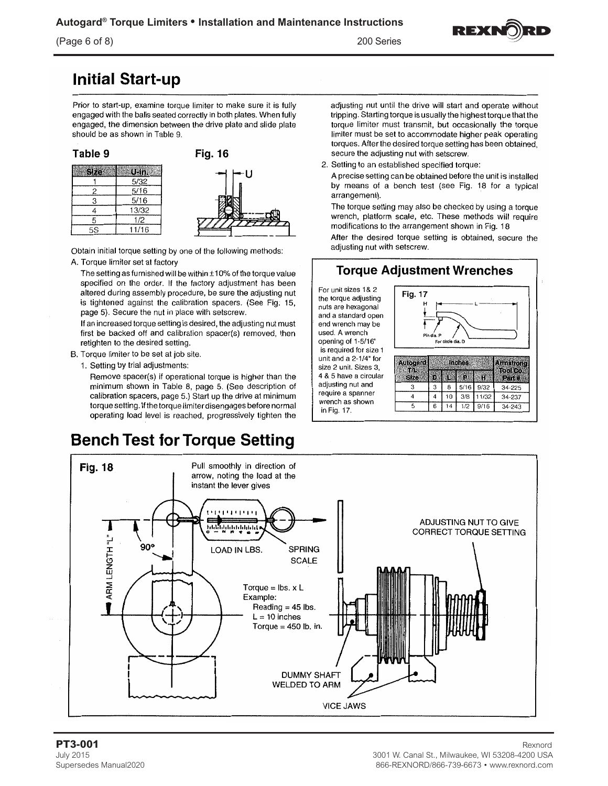### $(Page 6 of 8)$

200 Series



# **Initial Start-up**

Prior to start-up, examine torque limiter to make sure it is fully engaged with the balls seated correctly in both plates. When fully engaged, the dimension between the drive plate and slide plate should be as shown in Table 9.

| Table 9   |  |
|-----------|--|
| Size<br>屬 |  |

 $\overline{c}$ 

3

 $\overline{4}$ 

5

 $\overline{5S}$ 



Obtain initial torque setting by one of the following methods:

A. Torque limiter set at factory

The setting as furnished will be within  $\pm 10\%$  of the torque value specified on the order. If the factory adjustment has been altered during assembly procedure, be sure the adjusting nut is tightened against the calibration spacers. (See Fig. 15, page 5). Secure the nut in place with setscrew.

If an increased torque setting is desired, the adjusting nut must first be backed off and calibration spacer(s) removed, then retighten to the desired setting.

- B. Torque limiter to be set at job site.
	- 1. Setting by trial adjustments:

Remove spacer(s) if operational torque is higher than the minimum shown in Table 8, page 5. (See description of calibration spacers, page 5.) Start up the drive at minimum torque setting. If the torque limiter disengages before normal operating load level is reached, progressively tighten the

# **Bench Test for Torque Setting**

adjusting nut until the drive will start and operate without tripping. Starting torque is usually the highest torque that the torque limiter must transmit, but occasionally the torque limiter must be set to accommodate higher peak operating torques. After the desired torque setting has been obtained, secure the adjusting nut with setscrew.

2. Setting to an established specified torque:

A precise setting can be obtained before the unit is installed by means of a bench test (see Fig. 18 for a typical arrangement).

The torque setting may also be checked by using a torque wrench, platform scale, etc. These methods will require modifications to the arrangement shown in Fig. 18

After the desired torque setting is obtained, secure the adjusting nut with setscrew.





#### PT3-001 **July 2015** Supersedes Manual2020

#### Rexnord 3001 W. Canal St., Milwaukee, WI 53208-4200 USA 866-REXNORD/866-739-6673 · www.rexnord.com

the torque adjusting nuts are hexagonal and a standard open end wrench may be used. A wrench opening of 1-5/16" is required for size 1 unit and a 2-1/4" for size 2 unit. Sizes 3, 4 & 5 have a circular adjusting nut and require a spanner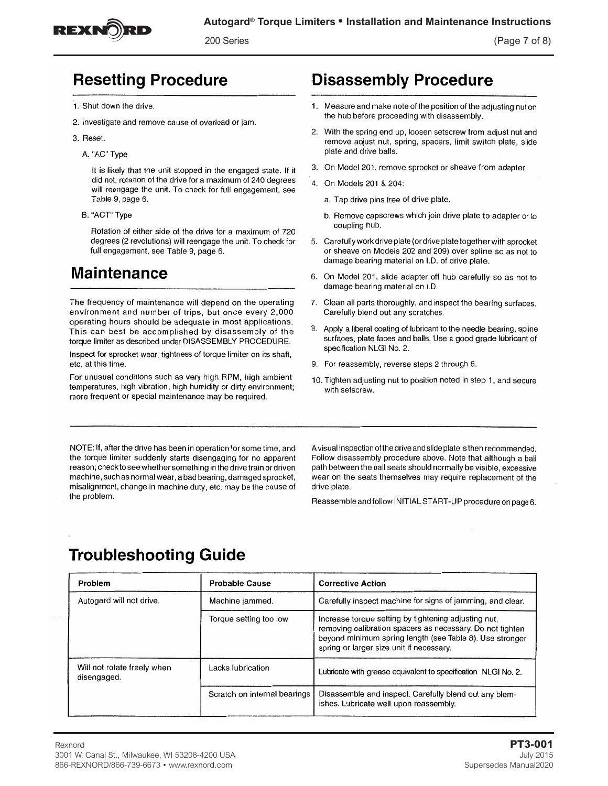

200 Series

(Page 7 of 8)

# **Resetting Procedure**

- 1. Shut down the drive.
- 2. Investigate and remove cause of overload or jam.
- 3. Reset.
	- A. "AC" Type

It is likely that the unit stopped in the engaged state. If it did not, rotation of the drive for a maximum of 240 degrees will reengage the unit. To check for full engagement, see Table 9, page 6.

B. "ACT" Type

Rotation of either side of the drive for a maximum of 720 degrees (2 revolutions) will reengage the unit. To check for full engagement, see Table 9, page 6.

# **Maintenance**

The frequency of maintenance will depend on the operating environment and number of trips, but once every 2,000 operating hours should be adequate in most applications. This can best be accomplished by disassembly of the torque limiter as described under DISASSEMBLY PROCEDURE.

Inspect for sprocket wear, tightness of torque limiter on its shaft, etc. at this time.

For unusual conditions such as very high RPM, high ambient temperatures, high vibration, high humidity or dirty environment; more frequent or special maintenance may be required.

# **Disassembly Procedure**

- 1. Measure and make note of the position of the adjusting nut on the hub before proceeding with disassembly.
- 2. With the spring end up, loosen setscrew from adjust nut and remove adjust nut, spring, spacers, limit switch plate, slide plate and drive balls.
- 3. On Model 201, remove sprocket or sheave from adapter.
- 4. On Models 201 & 204:
	- a. Tap drive pins free of drive plate.
	- b. Remove capscrews which join drive plate to adapter or to coupling hub.
- 5. Carefully work drive plate (or drive plate together with sprocket or sheave on Models 202 and 209) over spline so as not to damage bearing material on I.D. of drive plate.
- 6. On Model 201, slide adapter off hub carefully so as not to damage bearing material on I.D.
- Clean all parts thoroughly, and inspect the bearing surfaces. 7. Carefully blend out any scratches.
- 8. Apply a liberal coating of lubricant to the needle bearing, spline surfaces, plate faces and balls. Use a good grade lubricant of specification NLGI No. 2.
- 9. For reassembly, reverse steps 2 through 6.
- 10. Tighten adjusting nut to position noted in step 1, and secure with setscrew.

NOTE: If, after the drive has been in operation for some time, and the torque limiter suddenly starts disengaging for no apparent reason; check to see whether something in the drive train or driven machine, such as normal wear, a bad bearing, damaged sprocket, misalignment, change in machine duty, etc. may be the cause of the problem.

A visual inspection of the drive and slide plate is then recommended. Follow disassembly procedure above. Note that although a ball path between the ball seats should normally be visible, excessive wear on the seats themselves may require replacement of the drive plate.

Reassemble and follow INITIAL START-UP procedure on page 6.

# **Troubleshooting Guide**

| Problem                                    | <b>Probable Cause</b>        | <b>Corrective Action</b>                                                                                                                                                                                                  |
|--------------------------------------------|------------------------------|---------------------------------------------------------------------------------------------------------------------------------------------------------------------------------------------------------------------------|
| Autogard will not drive.                   | Machine jammed.              | Carefully inspect machine for signs of jamming, and clear.                                                                                                                                                                |
|                                            | Torque setting too low       | Increase torque setting by tightening adjusting nut,<br>removing calibration spacers as necessary. Do not tighten<br>beyond minimum spring length (see Table 8). Use stronger<br>spring or larger size unit if necessary. |
| Will not rotate freely when<br>disengaged. | Lacks Iubrication            | Lubricate with grease equivalent to specification NLGI No. 2.                                                                                                                                                             |
|                                            | Scratch on internal bearings | Disassemble and inspect. Carefully blend out any blem-<br>ishes. Lubricate well upon reassembly.                                                                                                                          |